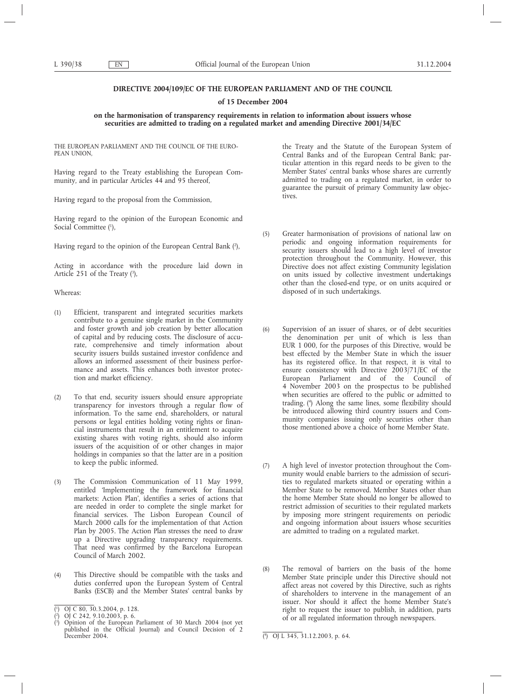## **DIRECTIVE 2004/109/EC OF THE EUROPEAN PARLIAMENT AND OF THE COUNCIL**

### **of 15 December 2004**

**on the harmonisation of transparency requirements in relation to information about issuers whose securities are admitted to trading on a regulated market and amending Directive 2001/34/EC**

THE EUROPEAN PARLIAMENT AND THE COUNCIL OF THE EURO-PEAN UNION

Having regard to the Treaty establishing the European Community, and in particular Articles 44 and 95 thereof,

Having regard to the proposal from the Commission,

Having regard to the opinion of the European Economic and Social Committee (1),

Having regard to the opinion of the European Central Bank (?),

Acting in accordance with the procedure laid down in Article 251 of the Treaty (3),

### Whereas:

- (1) Efficient, transparent and integrated securities markets contribute to a genuine single market in the Community and foster growth and job creation by better allocation of capital and by reducing costs. The disclosure of accurate, comprehensive and timely information about security issuers builds sustained investor confidence and allows an informed assessment of their business performance and assets. This enhances both investor protection and market efficiency.
- (2) To that end, security issuers should ensure appropriate transparency for investors through a regular flow of information. To the same end, shareholders, or natural persons or legal entities holding voting rights or financial instruments that result in an entitlement to acquire existing shares with voting rights, should also inform issuers of the acquisition of or other changes in major holdings in companies so that the latter are in a position to keep the public informed.
- (3) The Commission Communication of 11 May 1999, entitled 'Implementing the framework for financial markets: Action Plan', identifies a series of actions that are needed in order to complete the single market for financial services. The Lisbon European Council of March 2000 calls for the implementation of that Action Plan by 2005. The Action Plan stresses the need to draw up a Directive upgrading transparency requirements. That need was confirmed by the Barcelona European Council of March 2002.
- (4) This Directive should be compatible with the tasks and duties conferred upon the European System of Central Banks (ESCB) and the Member States' central banks by

the Treaty and the Statute of the European System of Central Banks and of the European Central Bank; particular attention in this regard needs to be given to the Member States' central banks whose shares are currently admitted to trading on a regulated market, in order to guarantee the pursuit of primary Community law objectives.

- (5) Greater harmonisation of provisions of national law on periodic and ongoing information requirements for security issuers should lead to a high level of investor protection throughout the Community. However, this Directive does not affect existing Community legislation on units issued by collective investment undertakings other than the closed-end type, or on units acquired or disposed of in such undertakings.
- (6) Supervision of an issuer of shares, or of debt securities the denomination per unit of which is less than EUR 1 000, for the purposes of this Directive, would be best effected by the Member State in which the issuer has its registered office. In that respect, it is vital to ensure consistency with Directive 2003/71/EC of the European Parliament and of the Council of 4 November 2003 on the prospectus to be published when securities are offered to the public or admitted to trading. (4) Along the same lines, some flexibility should be introduced allowing third country issuers and Community companies issuing only securities other than those mentioned above a choice of home Member State.
- (7) A high level of investor protection throughout the Community would enable barriers to the admission of securities to regulated markets situated or operating within a Member State to be removed. Member States other than the home Member State should no longer be allowed to restrict admission of securities to their regulated markets by imposing more stringent requirements on periodic and ongoing information about issuers whose securities are admitted to trading on a regulated market.
- (8) The removal of barriers on the basis of the home Member State principle under this Directive should not affect areas not covered by this Directive, such as rights of shareholders to intervene in the management of an issuer. Nor should it affect the home Member State's right to request the issuer to publish, in addition, parts of or all regulated information through newspapers.

<sup>(</sup> 1 ) OJ C 80, 30.3.2004, p. 128.

<sup>(</sup> 2 ) OJ C 242, 9.10.2003, p. 6.

<sup>(</sup> 3 ) Opinion of the European Parliament of 30 March 2004 (not yet published in the Official Journal) and Council Decision of 2 December 2004.

<sup>4</sup> ) OJ L 345, 31.12.2003, p. 64.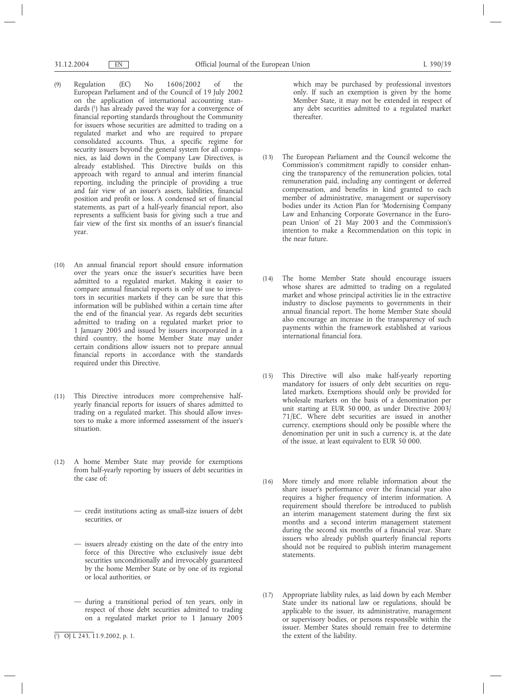- (9) Regulation (EC) No 1606/2002 of the European Parliament and of the Council of 19 July 2002 on the application of international accounting standards (1 ) has already paved the way for a convergence of financial reporting standards throughout the Community for issuers whose securities are admitted to trading on a regulated market and who are required to prepare consolidated accounts. Thus, a specific regime for security issuers beyond the general system for all companies, as laid down in the Company Law Directives, is already established. This Directive builds on this approach with regard to annual and interim financial reporting, including the principle of providing a true and fair view of an issuer's assets, liabilities, financial position and profit or loss. A condensed set of financial statements, as part of a half-yearly financial report, also represents a sufficient basis for giving such a true and fair view of the first six months of an issuer's financial year.
- (10) An annual financial report should ensure information over the years once the issuer's securities have been admitted to a regulated market. Making it easier to compare annual financial reports is only of use to investors in securities markets if they can be sure that this information will be published within a certain time after the end of the financial year. As regards debt securities admitted to trading on a regulated market prior to 1 January 2005 and issued by issuers incorporated in a third country, the home Member State may under certain conditions allow issuers not to prepare annual financial reports in accordance with the standards required under this Directive.
- (11) This Directive introduces more comprehensive halfyearly financial reports for issuers of shares admitted to trading on a regulated market. This should allow investors to make a more informed assessment of the issuer's situation.
- (12) A home Member State may provide for exemptions from half-yearly reporting by issuers of debt securities in the case of:
	- credit institutions acting as small-size issuers of debt securities, or
	- issuers already existing on the date of the entry into force of this Directive who exclusively issue debt securities unconditionally and irrevocably guaranteed by the home Member State or by one of its regional or local authorities, or
	- during a transitional period of ten years, only in respect of those debt securities admitted to trading on a regulated market prior to 1 January 2005

which may be purchased by professional investors only. If such an exemption is given by the home Member State, it may not be extended in respect of any debt securities admitted to a regulated market thereafter.

- (13) The European Parliament and the Council welcome the Commission's commitment rapidly to consider enhancing the transparency of the remuneration policies, total remuneration paid, including any contingent or deferred compensation, and benefits in kind granted to each member of administrative, management or supervisory bodies under its Action Plan for 'Modernising Company Law and Enhancing Corporate Governance in the European Union' of 21 May 2003 and the Commission's intention to make a Recommendation on this topic in the near future.
- (14) The home Member State should encourage issuers whose shares are admitted to trading on a regulated market and whose principal activities lie in the extractive industry to disclose payments to governments in their annual financial report. The home Member State should also encourage an increase in the transparency of such payments within the framework established at various international financial fora.
- (15) This Directive will also make half-yearly reporting mandatory for issuers of only debt securities on regulated markets. Exemptions should only be provided for wholesale markets on the basis of a denomination per unit starting at EUR 50 000, as under Directive  $2003/$ 71/EC. Where debt securities are issued in another currency, exemptions should only be possible where the denomination per unit in such a currency is, at the date of the issue, at least equivalent to EUR 50 000.
- (16) More timely and more reliable information about the share issuer's performance over the financial year also requires a higher frequency of interim information. A requirement should therefore be introduced to publish an interim management statement during the first six months and a second interim management statement during the second six months of a financial year. Share issuers who already publish quarterly financial reports should not be required to publish interim management statements.
- (17) Appropriate liability rules, as laid down by each Member State under its national law or regulations, should be applicable to the issuer, its administrative, management or supervisory bodies, or persons responsible within the issuer. Member States should remain free to determine the extent of the liability.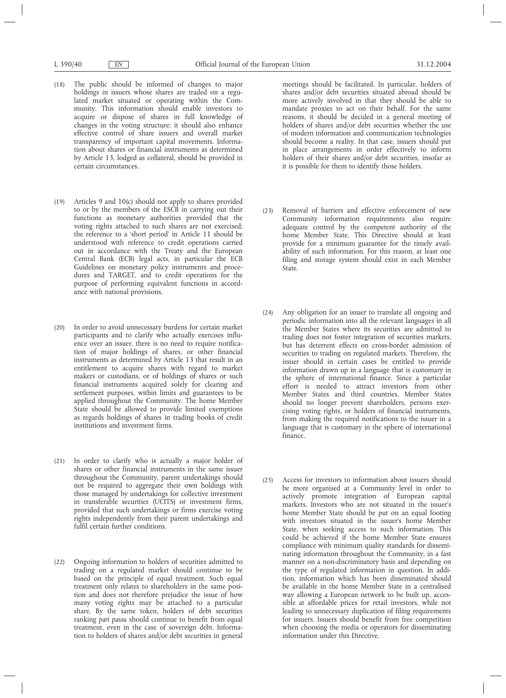- (18) The public should be informed of changes to major holdings in issuers whose shares are traded on a regulated market situated or operating within the Community. This information should enable investors to acquire or dispose of shares in full knowledge of changes in the voting structure; it should also enhance effective control of share issuers and overall market transparency of important capital movements. Information about shares or financial instruments as determined by Article 13, lodged as collateral, should be provided in certain circumstances.
- (19) Articles 9 and 10(c) should not apply to shares provided to or by the members of the ESCB in carrying out their functions as monetary authorities provided that the voting rights attached to such shares are not exercised; the reference to a 'short period' in Article 11 should be understood with reference to credit operations carried out in accordance with the Treaty and the European Central Bank (ECB) legal acts, in particular the ECB Guidelines on monetary policy instruments and procedures and TARGET, and to credit operations for the purpose of performing equivalent functions in accordance with national provisions.
- (20) In order to avoid unnecessary burdens for certain market participants and to clarify who actually exercises influence over an issuer, there is no need to require notification of major holdings of shares, or other financial instruments as determined by Article 13 that result in an entitlement to acquire shares with regard to market makers or custodians, or of holdings of shares or such financial instruments acquired solely for clearing and settlement purposes, within limits and guarantees to be applied throughout the Community. The home Member State should be allowed to provide limited exemptions as regards holdings of shares in trading books of credit institutions and investment firms.
- (21) In order to clarify who is actually a major holder of shares or other financial instruments in the same issuer throughout the Community, parent undertakings should not be required to aggregate their own holdings with those managed by undertakings for collective investment in transferable securities (UCITS) or investment firms, provided that such undertakings or firms exercise voting rights independently from their parent undertakings and fulfil certain further conditions.
- (22) Ongoing information to holders of securities admitted to trading on a regulated market should continue to be based on the principle of equal treatment. Such equal treatment only relates to shareholders in the same position and does not therefore prejudice the issue of how many voting rights may be attached to a particular share. By the same token, holders of debt securities ranking *pari passu* should continue to benefit from equal treatment, even in the case of sovereign debt. Information to holders of shares and/or debt securities in general

meetings should be facilitated. In particular, holders of shares and/or debt securities situated abroad should be more actively involved in that they should be able to mandate proxies to act on their behalf. For the same reasons, it should be decided in a general meeting of holders of shares and/or debt securities whether the use of modern information and communication technologies should become a reality. In that case, issuers should put in place arrangements in order effectively to inform holders of their shares and/or debt securities, insofar as it is possible for them to identify those holders.

- (23) Removal of barriers and effective enforcement of new Community information requirements also require adequate control by the competent authority of the home Member State. This Directive should at least provide for a minimum guarantee for the timely availability of such information. For this reason, at least one filing and storage system should exist in each Member State.
- (24) Any obligation for an issuer to translate all ongoing and periodic information into all the relevant languages in all the Member States where its securities are admitted to trading does not foster integration of securities markets, but has deterrent effects on cross-border admission of securities to trading on regulated markets. Therefore, the issuer should in certain cases be entitled to provide information drawn up in a language that is customary in the sphere of international finance. Since a particular effort is needed to attract investors from other Member States and third countries, Member States should no longer prevent shareholders, persons exercising voting rights, or holders of financial instruments, from making the required notifications to the issuer in a language that is customary in the sphere of international finance.
- (25) Access for investors to information about issuers should be more organised at a Community level in order to actively promote integration of European capital markets. Investors who are not situated in the issuer's home Member State should be put on an equal footing with investors situated in the issuer's home Member State, when seeking access to such information. This could be achieved if the home Member State ensures compliance with minimum quality standards for disseminating information throughout the Community, in a fast manner on a non-discriminatory basis and depending on the type of regulated information in question. In addition, information which has been disseminated should be available in the home Member State in a centralised way allowing a European network to be built up, accessible at affordable prices for retail investors, while not leading to unnecessary duplication of filing requirements for issuers. Issuers should benefit from free competition when choosing the media or operators for disseminating information under this Directive.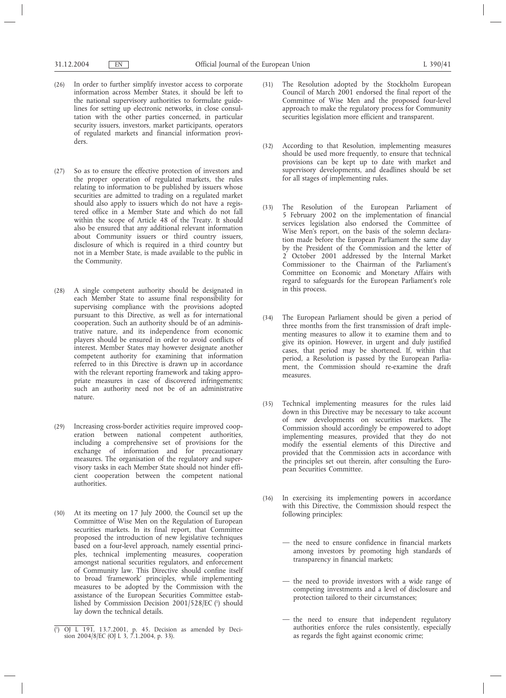- (26) In order to further simplify investor access to corporate information across Member States, it should be left to the national supervisory authorities to formulate guidelines for setting up electronic networks, in close consultation with the other parties concerned, in particular security issuers, investors, market participants, operators of regulated markets and financial information providers.
- (27) So as to ensure the effective protection of investors and the proper operation of regulated markets, the rules relating to information to be published by issuers whose securities are admitted to trading on a regulated market should also apply to issuers which do not have a registered office in a Member State and which do not fall within the scope of Article 48 of the Treaty. It should also be ensured that any additional relevant information about Community issuers or third country issuers, disclosure of which is required in a third country but not in a Member State, is made available to the public in the Community.
- (28) A single competent authority should be designated in each Member State to assume final responsibility for supervising compliance with the provisions adopted pursuant to this Directive, as well as for international cooperation. Such an authority should be of an administrative nature, and its independence from economic players should be ensured in order to avoid conflicts of interest. Member States may however designate another competent authority for examining that information referred to in this Directive is drawn up in accordance with the relevant reporting framework and taking appropriate measures in case of discovered infringements; such an authority need not be of an administrative nature.
- (29) Increasing cross-border activities require improved cooperation between national competent authorities, including a comprehensive set of provisions for the exchange of information and for precautionary measures. The organisation of the regulatory and supervisory tasks in each Member State should not hinder efficient cooperation between the competent national authorities.
- (30) At its meeting on 17 July 2000, the Council set up the Committee of Wise Men on the Regulation of European securities markets. In its final report, that Committee proposed the introduction of new legislative techniques based on a four-level approach, namely essential principles, technical implementing measures, cooperation amongst national securities regulators, and enforcement of Community law. This Directive should confine itself to broad 'framework' principles, while implementing measures to be adopted by the Commission with the assistance of the European Securities Committee established by Commission Decision 2001/528/EC (1) should lay down the technical details.
- (31) The Resolution adopted by the Stockholm European Council of March 2001 endorsed the final report of the Committee of Wise Men and the proposed four-level approach to make the regulatory process for Community securities legislation more efficient and transparent.
- (32) According to that Resolution, implementing measures should be used more frequently, to ensure that technical provisions can be kept up to date with market and supervisory developments, and deadlines should be set for all stages of implementing rules.
- (33) The Resolution of the European Parliament of 5 February 2002 on the implementation of financial services legislation also endorsed the Committee of Wise Men's report, on the basis of the solemn declaration made before the European Parliament the same day by the President of the Commission and the letter of 2 October 2001 addressed by the Internal Market Commissioner to the Chairman of the Parliament's Committee on Economic and Monetary Affairs with regard to safeguards for the European Parliament's role in this process.
- (34) The European Parliament should be given a period of three months from the first transmission of draft implementing measures to allow it to examine them and to give its opinion. However, in urgent and duly justified cases, that period may be shortened. If, within that period, a Resolution is passed by the European Parliament, the Commission should re-examine the draft measures.
- (35) Technical implementing measures for the rules laid down in this Directive may be necessary to take account of new developments on securities markets. The Commission should accordingly be empowered to adopt implementing measures, provided that they do not modify the essential elements of this Directive and provided that the Commission acts in accordance with the principles set out therein, after consulting the European Securities Committee.
- (36) In exercising its implementing powers in accordance with this Directive, the Commission should respect the following principles:
	- the need to ensure confidence in financial markets among investors by promoting high standards of transparency in financial markets;
	- the need to provide investors with a wide range of competing investments and a level of disclosure and protection tailored to their circumstances;
	- the need to ensure that independent regulatory authorities enforce the rules consistently, especially as regards the fight against economic crime;

<sup>(</sup> 1 ) OJ L 191, 13.7.2001, p. 45. Decision as amended by Decision 2004/8/EC (OJ L 3, 7.1.2004, p. 33).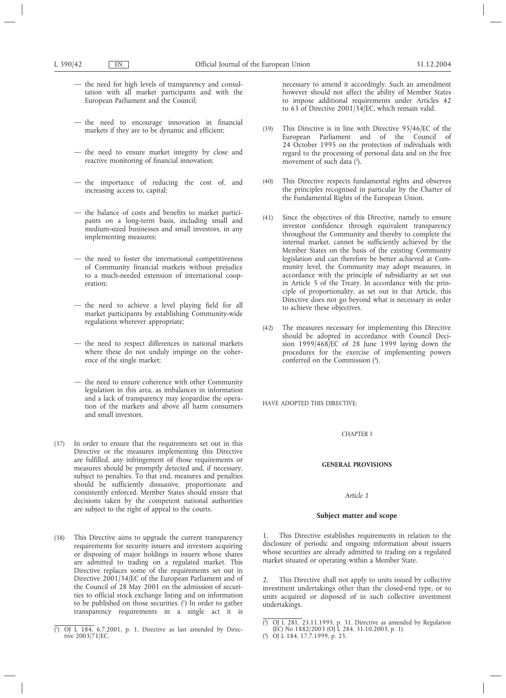- the need for high levels of transparency and consultation with all market participants and with the European Parliament and the Council;
- the need to encourage innovation in financial markets if they are to be dynamic and efficient;
- the need to ensure market integrity by close and reactive monitoring of financial innovation;
- the importance of reducing the cost of, and increasing access to, capital;
- the balance of costs and benefits to market participants on a long-term basis, including small and medium-sized businesses and small investors, in any implementing measures;
- the need to foster the international competitiveness of Community financial markets without prejudice to a much-needed extension of international cooperation;
- the need to achieve a level playing field for all market participants by establishing Community-wide regulations wherever appropriate;
- the need to respect differences in national markets where these do not unduly impinge on the coherence of the single market;
- the need to ensure coherence with other Community legislation in this area, as imbalances in information and a lack of transparency may jeopardise the operation of the markets and above all harm consumers and small investors.
- (37) In order to ensure that the requirements set out in this Directive or the measures implementing this Directive are fulfilled, any infringement of those requirements or measures should be promptly detected and, if necessary, subject to penalties. To that end, measures and penalties should be sufficiently dissuasive, proportionate and consistently enforced. Member States should ensure that decisions taken by the competent national authorities are subject to the right of appeal to the courts.
- (38) This Directive aims to upgrade the current transparency requirements for security issuers and investors acquiring or disposing of major holdings in issuers whose shares are admitted to trading on a regulated market. This Directive replaces some of the requirements set out in Directive 2001/34/EC of the European Parliament and of the Council of 28 May 2001 on the admission of securities to official stock exchange listing and on information to be published on those securities. (1) In order to gather transparency requirements in a single act it is

necessary to amend it accordingly. Such an amendment however should not affect the ability of Member States to impose additional requirements under Articles 42 to 63 of Directive 2001/34/EC, which remain valid.

- (39) This Directive is in line with Directive 95/46/EC of the European Parliament and of the Council of 24 October 1995 on the protection of individuals with regard to the processing of personal data and on the free movement of such data  $(2)$ .
- (40) This Directive respects fundamental rights and observes the principles recognised in particular by the Charter of the Fundamental Rights of the European Union.
- (41) Since the objectives of this Directive, namely to ensure investor confidence through equivalent transparency throughout the Community and thereby to complete the internal market, cannot be sufficiently achieved by the Member States on the basis of the existing Community legislation and can therefore be better achieved at Community level, the Community may adopt measures, in accordance with the principle of subsidiarity as set out in Article 5 of the Treaty. In accordance with the principle of proportionality, as set out in that Article, this Directive does not go beyond what is necessary in order to achieve these objectives.
- (42) The measures necessary for implementing this Directive should be adopted in accordance with Council Decision 1999/468/EC of 28 June 1999 laying down the procedures for the exercise of implementing powers conferred on the Commission  $(3)$ ,

HAVE ADOPTED THIS DIRECTIVE:

## CHAPTER I

### **GENERAL PROVISIONS**

### *Article 1*

#### **Subject matter and scope**

This Directive establishes requirements in relation to the disclosure of periodic and ongoing information about issuers whose securities are already admitted to trading on a regulated market situated or operating within a Member State.

2. This Directive shall not apply to units issued by collective investment undertakings other than the closed-end type, or to units acquired or disposed of in such collective investment undertakings.

<sup>(</sup> 1 ) OJ L 184, 6.7.2001, p. 1. Directive as last amended by Directive 2003/71/EC.

 $(2)$ ) OJ L 281, 23.11.1995, p. 31. Directive as amended by Regulation (EC) No 1882/2003 (OJ L 284, 31.10.2003, p. 1).

<sup>(</sup> 3 ) OJ L 184, 17.7.1999, p. 23.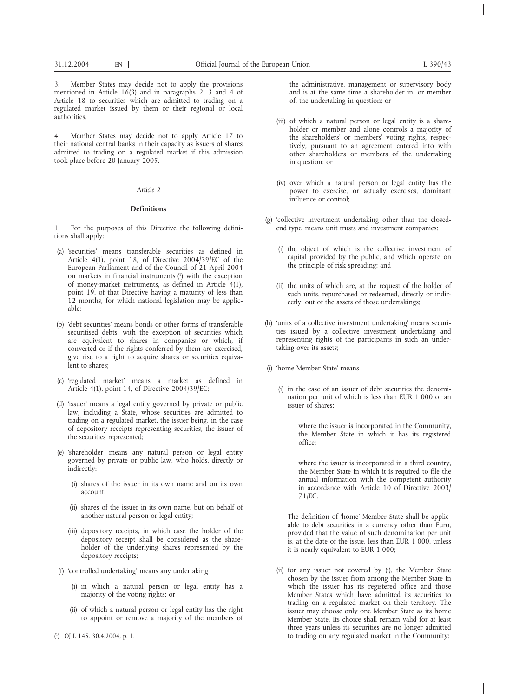3. Member States may decide not to apply the provisions mentioned in Article 16(3) and in paragraphs 2, 3 and 4 of Article 18 to securities which are admitted to trading on a regulated market issued by them or their regional or local authorities.

4. Member States may decide not to apply Article 17 to their national central banks in their capacity as issuers of shares admitted to trading on a regulated market if this admission took place before 20 January 2005.

## *Article 2*

### **Definitions**

1. For the purposes of this Directive the following definitions shall apply:

- (a) 'securities' means transferable securities as defined in Article 4(1), point 18, of Directive 2004/39/EC of the European Parliament and of the Council of 21 April 2004 on markets in financial instruments (1 ) with the exception of money-market instruments, as defined in Article 4(1), point 19, of that Directive having a maturity of less than 12 months, for which national legislation may be applicable;
- (b) 'debt securities' means bonds or other forms of transferable securitised debts, with the exception of securities which are equivalent to shares in companies or which, if converted or if the rights conferred by them are exercised, give rise to a right to acquire shares or securities equivalent to shares;
- (c) 'regulated market' means a market as defined in Article 4(1), point 14, of Directive 2004/39/EC;
- (d) 'issuer' means a legal entity governed by private or public law, including a State, whose securities are admitted to trading on a regulated market, the issuer being, in the case of depository receipts representing securities, the issuer of the securities represented;
- (e) 'shareholder' means any natural person or legal entity governed by private or public law, who holds, directly or indirectly:
	- (i) shares of the issuer in its own name and on its own account;
	- (ii) shares of the issuer in its own name, but on behalf of another natural person or legal entity;
	- (iii) depository receipts, in which case the holder of the depository receipt shall be considered as the shareholder of the underlying shares represented by the depository receipts;
- (f) 'controlled undertaking' means any undertaking
	- (i) in which a natural person or legal entity has a majority of the voting rights; or
	- (ii) of which a natural person or legal entity has the right to appoint or remove a majority of the members of

the administrative, management or supervisory body and is at the same time a shareholder in, or member of, the undertaking in question; or

- (iii) of which a natural person or legal entity is a shareholder or member and alone controls a majority of the shareholders' or members' voting rights, respectively, pursuant to an agreement entered into with other shareholders or members of the undertaking in question; or
- (iv) over which a natural person or legal entity has the power to exercise, or actually exercises, dominant influence or control;
- (g) 'collective investment undertaking other than the closedend type' means unit trusts and investment companies:
	- (i) the object of which is the collective investment of capital provided by the public, and which operate on the principle of risk spreading; and
	- (ii) the units of which are, at the request of the holder of such units, repurchased or redeemed, directly or indirectly, out of the assets of those undertakings;
- (h) 'units of a collective investment undertaking' means securities issued by a collective investment undertaking and representing rights of the participants in such an undertaking over its assets;
- (i) 'home Member State' means
	- (i) in the case of an issuer of debt securities the denomination per unit of which is less than EUR 1 000 or an issuer of shares:
		- where the issuer is incorporated in the Community, the Member State in which it has its registered office;
		- where the issuer is incorporated in a third country, the Member State in which it is required to file the annual information with the competent authority in accordance with Article 10 of Directive 2003/ 71/EC.

The definition of 'home' Member State shall be applicable to debt securities in a currency other than Euro, provided that the value of such denomination per unit is, at the date of the issue, less than EUR 1 000, unless it is nearly equivalent to EUR 1 000;

(ii) for any issuer not covered by (i), the Member State chosen by the issuer from among the Member State in which the issuer has its registered office and those Member States which have admitted its securities to trading on a regulated market on their territory. The issuer may choose only one Member State as its home Member State. Its choice shall remain valid for at least three years unless its securities are no longer admitted to trading on any regulated market in the Community;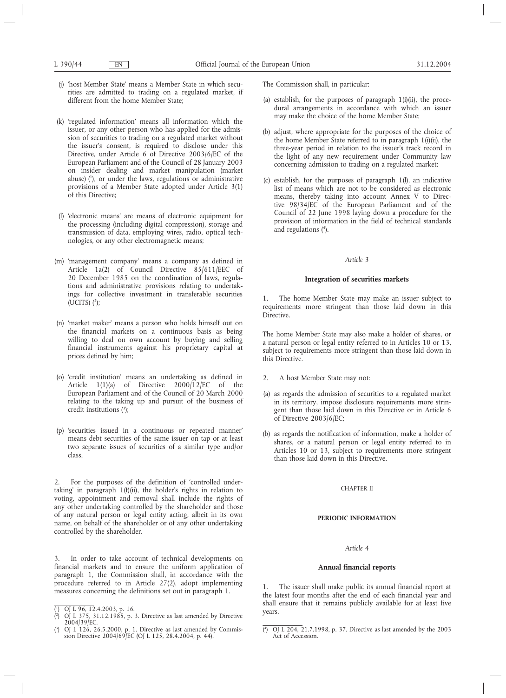- (j) 'host Member State' means a Member State in which securities are admitted to trading on a regulated market, if different from the home Member State;
- (k) 'regulated information' means all information which the issuer, or any other person who has applied for the admission of securities to trading on a regulated market without the issuer's consent, is required to disclose under this Directive, under Article 6 of Directive 2003/6/EC of the European Parliament and of the Council of 28 January 2003 on insider dealing and market manipulation (market abuse) (1 ), or under the laws, regulations or administrative provisions of a Member State adopted under Article 3(1) of this Directive;
- (l) 'electronic means' are means of electronic equipment for the processing (including digital compression), storage and transmission of data, employing wires, radio, optical technologies, or any other electromagnetic means;
- (m) 'management company' means a company as defined in Article 1a(2) of Council Directive 85/611/EEC of 20 December 1985 on the coordination of laws, regulations and administrative provisions relating to undertakings for collective investment in transferable securities  $(UCITS)$   $(2)$ ;
- (n) 'market maker' means a person who holds himself out on the financial markets on a continuous basis as being willing to deal on own account by buying and selling financial instruments against his proprietary capital at prices defined by him;
- (o) 'credit institution' means an undertaking as defined in Article  $1(1)(a)$  of Directive  $2000/\overline{1}2/EC$  of the European Parliament and of the Council of 20 March 2000 relating to the taking up and pursuit of the business of credit institutions (3);
- (p) 'securities issued in a continuous or repeated manner' means debt securities of the same issuer on tap or at least two separate issues of securities of a similar type and/or class.

2. For the purposes of the definition of 'controlled undertaking' in paragraph  $1(f)(ii)$ , the holder's rights in relation to voting, appointment and removal shall include the rights of any other undertaking controlled by the shareholder and those of any natural person or legal entity acting, albeit in its own name, on behalf of the shareholder or of any other undertaking controlled by the shareholder.

3. In order to take account of technical developments on financial markets and to ensure the uniform application of paragraph 1, the Commission shall, in accordance with the procedure referred to in Article 27(2), adopt implementing measures concerning the definitions set out in paragraph 1.

- ( 2 ) OJ L 375, 31.12.1985, p. 3. Directive as last amended by Directive 2004/39/EC.
- ( 3 ) OJ L 126, 26.5.2000, p. 1. Directive as last amended by Commission Directive 2004/69/EC (OJ L 125, 28.4.2004, p. 44).

The Commission shall, in particular:

- (a) establish, for the purposes of paragraph 1(i)(ii), the procedural arrangements in accordance with which an issuer may make the choice of the home Member State;
- (b) adjust, where appropriate for the purposes of the choice of the home Member State referred to in paragraph 1(i)(ii), the three-year period in relation to the issuer's track record in the light of any new requirement under Community law concerning admission to trading on a regulated market;
- (c) establish, for the purposes of paragraph 1(l), an indicative list of means which are not to be considered as electronic means, thereby taking into account Annex V to Directive 98/34/EC of the European Parliament and of the Council of 22 June 1998 laying down a procedure for the provision of information in the field of technical standards and regulations (4).

### *Article 3*

#### **Integration of securities markets**

1. The home Member State may make an issuer subject to requirements more stringent than those laid down in this Directive.

The home Member State may also make a holder of shares, or a natural person or legal entity referred to in Articles 10 or 13, subject to requirements more stringent than those laid down in this Directive.

- 2. A host Member State may not:
- (a) as regards the admission of securities to a regulated market in its territory, impose disclosure requirements more stringent than those laid down in this Directive or in Article 6 of Directive 2003/6/EC;
- (b) as regards the notification of information, make a holder of shares, or a natural person or legal entity referred to in Articles 10 or 13, subject to requirements more stringent than those laid down in this Directive.

## CHAPTER II

## **PERIODIC INFORMATION**

## *Article 4*

### **Annual financial reports**

1. The issuer shall make public its annual financial report at the latest four months after the end of each financial year and shall ensure that it remains publicly available for at least five years.

<sup>(</sup> 1 ) OJ L 96, 12.4.2003, p. 16.

<sup>(</sup> 4 ) OJ L 204, 21.7.1998, p. 37. Directive as last amended by the 2003 Act of Accession.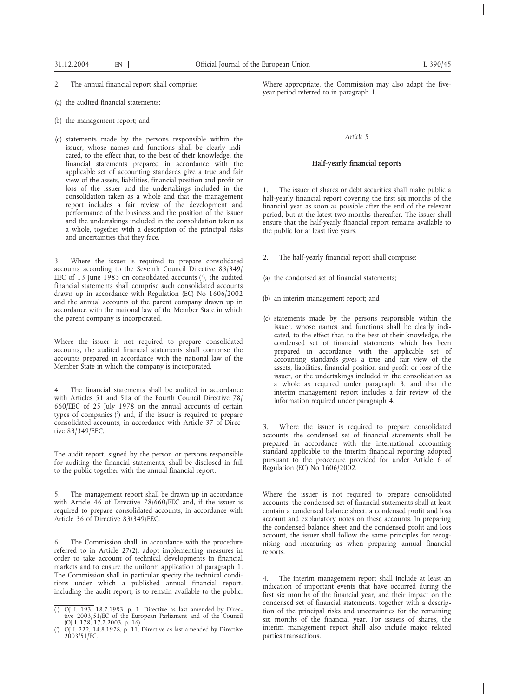- 2. The annual financial report shall comprise:
- (a) the audited financial statements;
- (b) the management report; and
- (c) statements made by the persons responsible within the issuer, whose names and functions shall be clearly indicated, to the effect that, to the best of their knowledge, the financial statements prepared in accordance with the applicable set of accounting standards give a true and fair view of the assets, liabilities, financial position and profit or loss of the issuer and the undertakings included in the consolidation taken as a whole and that the management report includes a fair review of the development and performance of the business and the position of the issuer and the undertakings included in the consolidation taken as a whole, together with a description of the principal risks and uncertainties that they face.

3. Where the issuer is required to prepare consolidated accounts according to the Seventh Council Directive 83/349/ EEC of 13 June 1983 on consolidated accounts (1), the audited financial statements shall comprise such consolidated accounts drawn up in accordance with Regulation (EC) No 1606/2002 and the annual accounts of the parent company drawn up in accordance with the national law of the Member State in which the parent company is incorporated.

Where the issuer is not required to prepare consolidated accounts, the audited financial statements shall comprise the accounts prepared in accordance with the national law of the Member State in which the company is incorporated.

4. The financial statements shall be audited in accordance with Articles 51 and 51a of the Fourth Council Directive 78/ 660/EEC of 25 July 1978 on the annual accounts of certain types of companies (2 ) and, if the issuer is required to prepare consolidated accounts, in accordance with Article 37 of Directive 83/349/EEC.

The audit report, signed by the person or persons responsible for auditing the financial statements, shall be disclosed in full to the public together with the annual financial report.

5. The management report shall be drawn up in accordance with Article 46 of Directive 78/660/EEC and, if the issuer is required to prepare consolidated accounts, in accordance with Article 36 of Directive 83/349/EEC.

6. The Commission shall, in accordance with the procedure referred to in Article 27(2), adopt implementing measures in order to take account of technical developments in financial markets and to ensure the uniform application of paragraph 1. The Commission shall in particular specify the technical conditions under which a published annual financial report, including the audit report, is to remain available to the public. Where appropriate, the Commission may also adapt the fiveyear period referred to in paragraph 1.

#### *Article 5*

### **Half-yearly financial reports**

1. The issuer of shares or debt securities shall make public a half-yearly financial report covering the first six months of the financial year as soon as possible after the end of the relevant period, but at the latest two months thereafter. The issuer shall ensure that the half-yearly financial report remains available to the public for at least five years.

- 2. The half-yearly financial report shall comprise:
- (a) the condensed set of financial statements;
- (b) an interim management report; and
- (c) statements made by the persons responsible within the issuer, whose names and functions shall be clearly indicated, to the effect that, to the best of their knowledge, the condensed set of financial statements which has been prepared in accordance with the applicable set of accounting standards gives a true and fair view of the assets, liabilities, financial position and profit or loss of the issuer, or the undertakings included in the consolidation as a whole as required under paragraph 3, and that the interim management report includes a fair review of the information required under paragraph 4.

3. Where the issuer is required to prepare consolidated accounts, the condensed set of financial statements shall be prepared in accordance with the international accounting standard applicable to the interim financial reporting adopted pursuant to the procedure provided for under Article 6 of Regulation (EC) No 1606/2002.

Where the issuer is not required to prepare consolidated accounts, the condensed set of financial statements shall at least contain a condensed balance sheet, a condensed profit and loss account and explanatory notes on these accounts. In preparing the condensed balance sheet and the condensed profit and loss account, the issuer shall follow the same principles for recognising and measuring as when preparing annual financial reports.

4. The interim management report shall include at least an indication of important events that have occurred during the first six months of the financial year, and their impact on the condensed set of financial statements, together with a description of the principal risks and uncertainties for the remaining six months of the financial year. For issuers of shares, the interim management report shall also include major related parties transactions.

<sup>(</sup> 1 ) OJ L 193, 18.7.1983, p. 1. Directive as last amended by Directive 2003/51/EC of the European Parliament and of the Council (OJ L 178, 17.7.2003, p. 16).

<sup>(</sup> 2 ) OJ L 222, 14.8.1978, p. 11. Directive as last amended by Directive 2003/51/EC.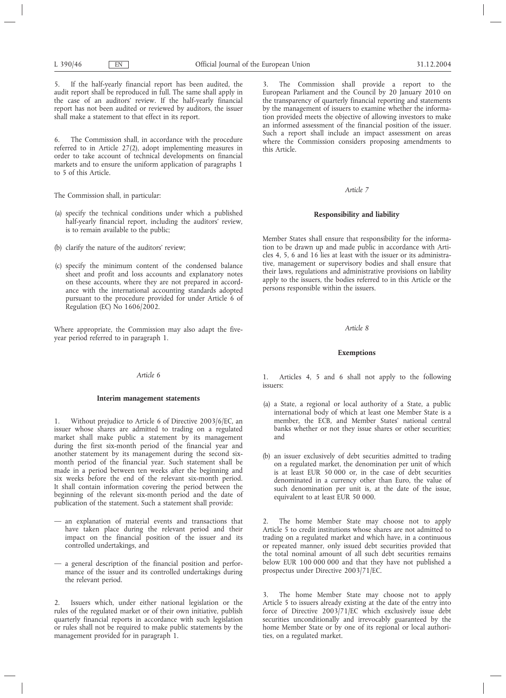5. If the half-yearly financial report has been audited, the audit report shall be reproduced in full. The same shall apply in the case of an auditors' review. If the half-yearly financial report has not been audited or reviewed by auditors, the issuer shall make a statement to that effect in its report.

6. The Commission shall, in accordance with the procedure referred to in Article 27(2), adopt implementing measures in order to take account of technical developments on financial markets and to ensure the uniform application of paragraphs 1 to 5 of this Article.

The Commission shall, in particular:

- (a) specify the technical conditions under which a published half-yearly financial report, including the auditors' review, is to remain available to the public;
- (b) clarify the nature of the auditors' review;
- (c) specify the minimum content of the condensed balance sheet and profit and loss accounts and explanatory notes on these accounts, where they are not prepared in accordance with the international accounting standards adopted pursuant to the procedure provided for under Article 6 of Regulation (EC) No 1606/2002.

Where appropriate, the Commission may also adapt the fiveyear period referred to in paragraph 1.

## *Article 6*

#### **Interim management statements**

1. Without prejudice to Article 6 of Directive 2003/6/EC, an issuer whose shares are admitted to trading on a regulated market shall make public a statement by its management during the first six-month period of the financial year and another statement by its management during the second sixmonth period of the financial year. Such statement shall be made in a period between ten weeks after the beginning and six weeks before the end of the relevant six-month period. It shall contain information covering the period between the beginning of the relevant six-month period and the date of publication of the statement. Such a statement shall provide:

- an explanation of material events and transactions that have taken place during the relevant period and their impact on the financial position of the issuer and its controlled undertakings, and
- a general description of the financial position and performance of the issuer and its controlled undertakings during the relevant period.

2. Issuers which, under either national legislation or the rules of the regulated market or of their own initiative, publish quarterly financial reports in accordance with such legislation or rules shall not be required to make public statements by the management provided for in paragraph 1.

3. The Commission shall provide a report to the European Parliament and the Council by 20 January 2010 on the transparency of quarterly financial reporting and statements by the management of issuers to examine whether the information provided meets the objective of allowing investors to make an informed assessment of the financial position of the issuer. Such a report shall include an impact assessment on areas where the Commission considers proposing amendments to this Article.

#### *Article 7*

### **Responsibility and liability**

Member States shall ensure that responsibility for the information to be drawn up and made public in accordance with Articles 4, 5, 6 and 16 lies at least with the issuer or its administrative, management or supervisory bodies and shall ensure that their laws, regulations and administrative provisions on liability apply to the issuers, the bodies referred to in this Article or the persons responsible within the issuers.

#### *Article 8*

#### **Exemptions**

1. Articles 4, 5 and 6 shall not apply to the following issuers:

- (a) a State, a regional or local authority of a State, a public international body of which at least one Member State is a member, the ECB, and Member States' national central banks whether or not they issue shares or other securities; and
- (b) an issuer exclusively of debt securities admitted to trading on a regulated market, the denomination per unit of which is at least EUR 50 000 or, in the case of debt securities denominated in a currency other than Euro, the value of such denomination per unit is, at the date of the issue, equivalent to at least EUR 50 000.

2. The home Member State may choose not to apply Article 5 to credit institutions whose shares are not admitted to trading on a regulated market and which have, in a continuous or repeated manner, only issued debt securities provided that the total nominal amount of all such debt securities remains below EUR 100 000 000 and that they have not published a prospectus under Directive 2003/71/EC.

3. The home Member State may choose not to apply Article 5 to issuers already existing at the date of the entry into force of Directive 2003/71/EC which exclusively issue debt securities unconditionally and irrevocably guaranteed by the home Member State or by one of its regional or local authorities, on a regulated market.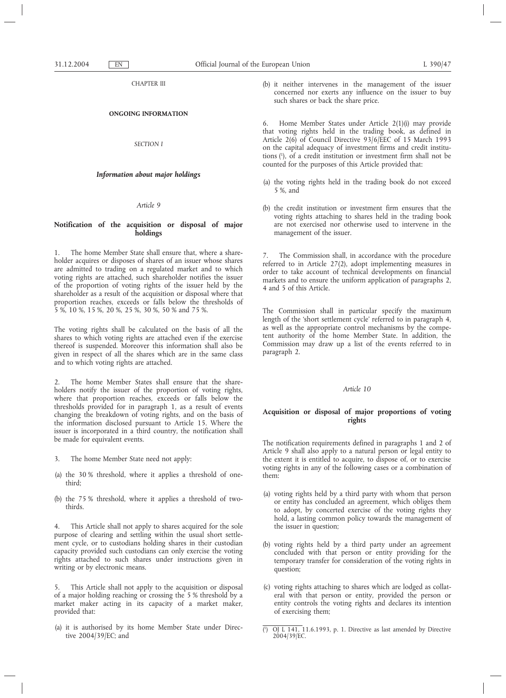CHAPTER III

## **ONGOING INFORMATION**

### *SECTION I*

## *Information about major holdings*

## *Article 9*

## **Notification of the acquisition or disposal of major holdings**

1. The home Member State shall ensure that, where a shareholder acquires or disposes of shares of an issuer whose shares are admitted to trading on a regulated market and to which voting rights are attached, such shareholder notifies the issuer of the proportion of voting rights of the issuer held by the shareholder as a result of the acquisition or disposal where that proportion reaches, exceeds or falls below the thresholds of 5 %, 10 %, 15 %, 20 %, 25 %, 30 %, 50 % and 75 %.

The voting rights shall be calculated on the basis of all the shares to which voting rights are attached even if the exercise thereof is suspended. Moreover this information shall also be given in respect of all the shares which are in the same class and to which voting rights are attached.

2. The home Member States shall ensure that the shareholders notify the issuer of the proportion of voting rights, where that proportion reaches, exceeds or falls below the thresholds provided for in paragraph 1, as a result of events changing the breakdown of voting rights, and on the basis of the information disclosed pursuant to Article 15. Where the issuer is incorporated in a third country, the notification shall be made for equivalent events.

- 3. The home Member State need not apply:
- (a) the 30 % threshold, where it applies a threshold of onethird;
- (b) the 75 % threshold, where it applies a threshold of twothirds.

4. This Article shall not apply to shares acquired for the sole purpose of clearing and settling within the usual short settlement cycle, or to custodians holding shares in their custodian capacity provided such custodians can only exercise the voting rights attached to such shares under instructions given in writing or by electronic means.

5. This Article shall not apply to the acquisition or disposal of a major holding reaching or crossing the 5 % threshold by a market maker acting in its capacity of a market maker, provided that:

(a) it is authorised by its home Member State under Directive 2004/39/EC; and

(b) it neither intervenes in the management of the issuer concerned nor exerts any influence on the issuer to buy such shares or back the share price.

6. Home Member States under Article 2(1)(i) may provide that voting rights held in the trading book, as defined in Article 2(6) of Council Directive 93/6/EEC of 15 March 1993 on the capital adequacy of investment firms and credit institutions (1 ), of a credit institution or investment firm shall not be counted for the purposes of this Article provided that:

- (a) the voting rights held in the trading book do not exceed 5 %, and
- (b) the credit institution or investment firm ensures that the voting rights attaching to shares held in the trading book are not exercised nor otherwise used to intervene in the management of the issuer.

7. The Commission shall, in accordance with the procedure referred to in Article 27(2), adopt implementing measures in order to take account of technical developments on financial markets and to ensure the uniform application of paragraphs 2, 4 and 5 of this Article.

The Commission shall in particular specify the maximum length of the 'short settlement cycle' referred to in paragraph 4, as well as the appropriate control mechanisms by the competent authority of the home Member State. In addition, the Commission may draw up a list of the events referred to in paragraph 2.

#### *Article 10*

## **Acquisition or disposal of major proportions of voting rights**

The notification requirements defined in paragraphs 1 and 2 of Article 9 shall also apply to a natural person or legal entity to the extent it is entitled to acquire, to dispose of, or to exercise voting rights in any of the following cases or a combination of them:

- (a) voting rights held by a third party with whom that person or entity has concluded an agreement, which obliges them to adopt, by concerted exercise of the voting rights they hold, a lasting common policy towards the management of the issuer in question;
- (b) voting rights held by a third party under an agreement concluded with that person or entity providing for the temporary transfer for consideration of the voting rights in question;
- (c) voting rights attaching to shares which are lodged as collateral with that person or entity, provided the person or entity controls the voting rights and declares its intention of exercising them;

<sup>(</sup> 1 ) OJ L 141, 11.6.1993, p. 1. Directive as last amended by Directive 2004/39/EC.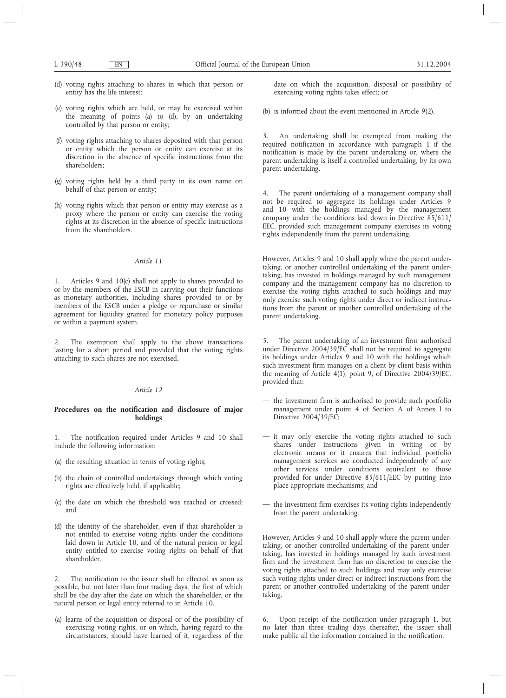- (d) voting rights attaching to shares in which that person or entity has the life interest;
- (e) voting rights which are held, or may be exercised within the meaning of points (a) to (d), by an undertaking controlled by that person or entity;
- (f) voting rights attaching to shares deposited with that person or entity which the person or entity can exercise at its discretion in the absence of specific instructions from the shareholders;
- (g) voting rights held by a third party in its own name on behalf of that person or entity;
- (h) voting rights which that person or entity may exercise as a proxy where the person or entity can exercise the voting rights at its discretion in the absence of specific instructions from the shareholders.

### *Article 11*

Articles 9 and 10(c) shall not apply to shares provided to or by the members of the ESCB in carrying out their functions as monetary authorities, including shares provided to or by members of the ESCB under a pledge or repurchase or similar agreement for liquidity granted for monetary policy purposes or within a payment system.

2. The exemption shall apply to the above transactions lasting for a short period and provided that the voting rights attaching to such shares are not exercised.

#### *Article 12*

## **Procedures on the notification and disclosure of major holdings**

1. The notification required under Articles 9 and 10 shall include the following information:

- (a) the resulting situation in terms of voting rights;
- (b) the chain of controlled undertakings through which voting rights are effectively held, if applicable;
- (c) the date on which the threshold was reached or crossed; and
- (d) the identity of the shareholder, even if that shareholder is not entitled to exercise voting rights under the conditions laid down in Article 10, and of the natural person or legal entity entitled to exercise voting rights on behalf of that shareholder.

2. The notification to the issuer shall be effected as soon as possible, but not later than four trading days, the first of which shall be the day after the date on which the shareholder, or the natural person or legal entity referred to in Article 10,

(a) learns of the acquisition or disposal or of the possibility of exercising voting rights, or on which, having regard to the circumstances, should have learned of it, regardless of the

date on which the acquisition, disposal or possibility of exercising voting rights takes effect; or

(b) is informed about the event mentioned in Article 9(2).

3. An undertaking shall be exempted from making the required notification in accordance with paragraph 1 if the notification is made by the parent undertaking or, where the parent undertaking is itself a controlled undertaking, by its own parent undertaking.

4. The parent undertaking of a management company shall not be required to aggregate its holdings under Articles 9 and 10 with the holdings managed by the management company under the conditions laid down in Directive 85/611/ EEC, provided such management company exercises its voting rights independently from the parent undertaking.

However, Articles 9 and 10 shall apply where the parent undertaking, or another controlled undertaking of the parent undertaking, has invested in holdings managed by such management company and the management company has no discretion to exercise the voting rights attached to such holdings and may only exercise such voting rights under direct or indirect instructions from the parent or another controlled undertaking of the parent undertaking.

5. The parent undertaking of an investment firm authorised under Directive 2004/39/EC shall not be required to aggregate its holdings under Articles 9 and 10 with the holdings which such investment firm manages on a client-by-client basis within the meaning of Article 4(1), point 9, of Directive 2004/39/EC, provided that:

- the investment firm is authorised to provide such portfolio management under point 4 of Section A of Annex I to Directive 2004/39/EC;
- it may only exercise the voting rights attached to such shares under instructions given in writing or by electronic means or it ensures that individual portfolio management services are conducted independently of any other services under conditions equivalent to those provided for under Directive 85/611/EEC by putting into place appropriate mechanisms; and
- the investment firm exercises its voting rights independently from the parent undertaking.

However, Articles 9 and 10 shall apply where the parent undertaking, or another controlled undertaking of the parent undertaking, has invested in holdings managed by such investment firm and the investment firm has no discretion to exercise the voting rights attached to such holdings and may only exercise such voting rights under direct or indirect instructions from the parent or another controlled undertaking of the parent undertaking.

6. Upon receipt of the notification under paragraph 1, but no later than three trading days thereafter, the issuer shall make public all the information contained in the notification.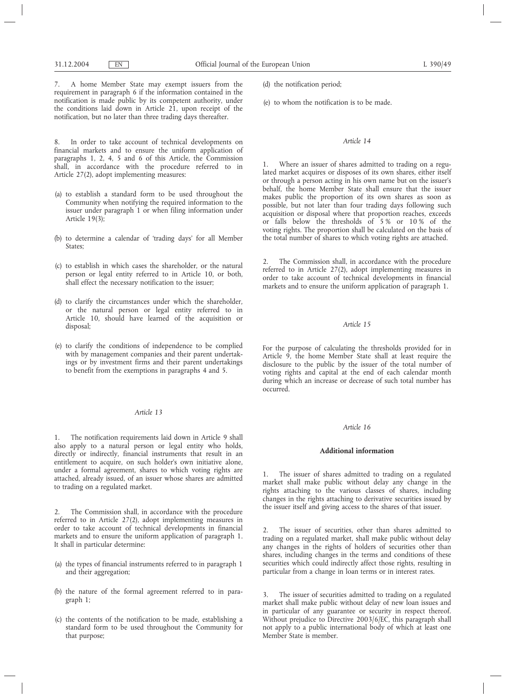7. A home Member State may exempt issuers from the requirement in paragraph 6 if the information contained in the notification is made public by its competent authority, under the conditions laid down in Article 21, upon receipt of the notification, but no later than three trading days thereafter.

8. In order to take account of technical developments on financial markets and to ensure the uniform application of paragraphs 1, 2, 4, 5 and 6 of this Article, the Commission shall, in accordance with the procedure referred to in Article 27(2), adopt implementing measures:

- (a) to establish a standard form to be used throughout the Community when notifying the required information to the issuer under paragraph 1 or when filing information under Article  $19(3)$ ;
- (b) to determine a calendar of 'trading days' for all Member States;
- (c) to establish in which cases the shareholder, or the natural person or legal entity referred to in Article 10, or both, shall effect the necessary notification to the issuer;
- (d) to clarify the circumstances under which the shareholder, or the natural person or legal entity referred to in Article 10, should have learned of the acquisition or disposal;
- (e) to clarify the conditions of independence to be complied with by management companies and their parent undertakings or by investment firms and their parent undertakings to benefit from the exemptions in paragraphs 4 and 5.

#### *Article 13*

1. The notification requirements laid down in Article 9 shall also apply to a natural person or legal entity who holds, directly or indirectly, financial instruments that result in an entitlement to acquire, on such holder's own initiative alone, under a formal agreement, shares to which voting rights are attached, already issued, of an issuer whose shares are admitted to trading on a regulated market.

2. The Commission shall, in accordance with the procedure referred to in Article 27(2), adopt implementing measures in order to take account of technical developments in financial markets and to ensure the uniform application of paragraph 1. It shall in particular determine:

- (a) the types of financial instruments referred to in paragraph 1 and their aggregation;
- (b) the nature of the formal agreement referred to in paragraph 1;
- (c) the contents of the notification to be made, establishing a standard form to be used throughout the Community for that purpose;
- (d) the notification period;
- (e) to whom the notification is to be made.

#### *Article 14*

1. Where an issuer of shares admitted to trading on a regulated market acquires or disposes of its own shares, either itself or through a person acting in his own name but on the issuer's behalf, the home Member State shall ensure that the issuer makes public the proportion of its own shares as soon as possible, but not later than four trading days following such acquisition or disposal where that proportion reaches, exceeds or falls below the thresholds of 5 % or 10 % of the voting rights. The proportion shall be calculated on the basis of the total number of shares to which voting rights are attached.

The Commission shall, in accordance with the procedure referred to in Article 27(2), adopt implementing measures in order to take account of technical developments in financial markets and to ensure the uniform application of paragraph 1.

## *Article 15*

For the purpose of calculating the thresholds provided for in Article 9, the home Member State shall at least require the disclosure to the public by the issuer of the total number of voting rights and capital at the end of each calendar month during which an increase or decrease of such total number has occurred.

### *Article 16*

### **Additional information**

1. The issuer of shares admitted to trading on a regulated market shall make public without delay any change in the rights attaching to the various classes of shares, including changes in the rights attaching to derivative securities issued by the issuer itself and giving access to the shares of that issuer.

2. The issuer of securities, other than shares admitted to trading on a regulated market, shall make public without delay any changes in the rights of holders of securities other than shares, including changes in the terms and conditions of these securities which could indirectly affect those rights, resulting in particular from a change in loan terms or in interest rates.

3. The issuer of securities admitted to trading on a regulated market shall make public without delay of new loan issues and in particular of any guarantee or security in respect thereof. Without prejudice to Directive 2003/6/EC, this paragraph shall not apply to a public international body of which at least one Member State is member.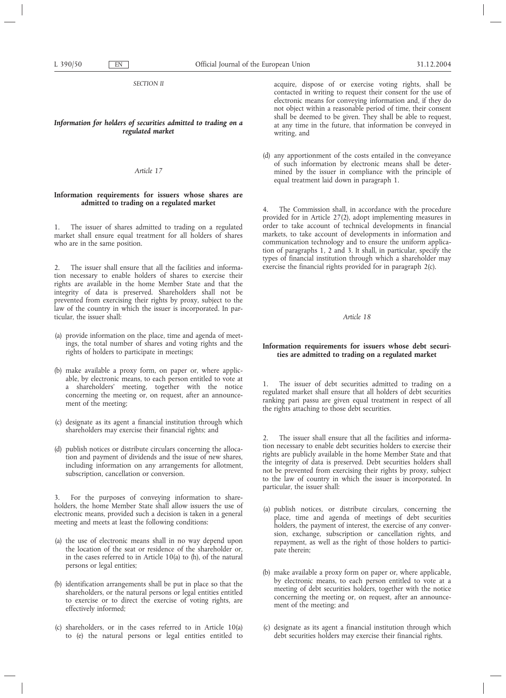*SECTION II*

### *Information for holders of securities admitted to trading on a regulated market*

# *Article 17*

## **Information requirements for issuers whose shares are admitted to trading on a regulated market**

1. The issuer of shares admitted to trading on a regulated market shall ensure equal treatment for all holders of shares who are in the same position.

2. The issuer shall ensure that all the facilities and information necessary to enable holders of shares to exercise their rights are available in the home Member State and that the integrity of data is preserved. Shareholders shall not be prevented from exercising their rights by proxy, subject to the law of the country in which the issuer is incorporated. In particular, the issuer shall:

- (a) provide information on the place, time and agenda of meetings, the total number of shares and voting rights and the rights of holders to participate in meetings;
- (b) make available a proxy form, on paper or, where applicable, by electronic means, to each person entitled to vote at a shareholders' meeting, together with the notice concerning the meeting or, on request, after an announcement of the meeting;
- (c) designate as its agent a financial institution through which shareholders may exercise their financial rights; and
- (d) publish notices or distribute circulars concerning the allocation and payment of dividends and the issue of new shares, including information on any arrangements for allotment, subscription, cancellation or conversion.

3. For the purposes of conveying information to shareholders, the home Member State shall allow issuers the use of electronic means, provided such a decision is taken in a general meeting and meets at least the following conditions:

- (a) the use of electronic means shall in no way depend upon the location of the seat or residence of the shareholder or, in the cases referred to in Article 10(a) to (h), of the natural persons or legal entities;
- (b) identification arrangements shall be put in place so that the shareholders, or the natural persons or legal entities entitled to exercise or to direct the exercise of voting rights, are effectively informed;
- (c) shareholders, or in the cases referred to in Article 10(a) to (e) the natural persons or legal entities entitled to

acquire, dispose of or exercise voting rights, shall be contacted in writing to request their consent for the use of electronic means for conveying information and, if they do not object within a reasonable period of time, their consent shall be deemed to be given. They shall be able to request, at any time in the future, that information be conveyed in writing, and

(d) any apportionment of the costs entailed in the conveyance of such information by electronic means shall be determined by the issuer in compliance with the principle of equal treatment laid down in paragraph 1.

4. The Commission shall, in accordance with the procedure provided for in Article 27(2), adopt implementing measures in order to take account of technical developments in financial markets, to take account of developments in information and communication technology and to ensure the uniform application of paragraphs 1, 2 and 3. It shall, in particular, specify the types of financial institution through which a shareholder may exercise the financial rights provided for in paragraph 2(c).

### *Article 18*

### **Information requirements for issuers whose debt securities are admitted to trading on a regulated market**

1. The issuer of debt securities admitted to trading on a regulated market shall ensure that all holders of debt securities ranking pari passu are given equal treatment in respect of all the rights attaching to those debt securities.

2. The issuer shall ensure that all the facilities and information necessary to enable debt securities holders to exercise their rights are publicly available in the home Member State and that the integrity of data is preserved. Debt securities holders shall not be prevented from exercising their rights by proxy, subject to the law of country in which the issuer is incorporated. In particular, the issuer shall:

- (a) publish notices, or distribute circulars, concerning the place, time and agenda of meetings of debt securities holders, the payment of interest, the exercise of any conversion, exchange, subscription or cancellation rights, and repayment, as well as the right of those holders to participate therein;
- (b) make available a proxy form on paper or, where applicable, by electronic means, to each person entitled to vote at a meeting of debt securities holders, together with the notice concerning the meeting or, on request, after an announcement of the meeting; and
- (c) designate as its agent a financial institution through which debt securities holders may exercise their financial rights.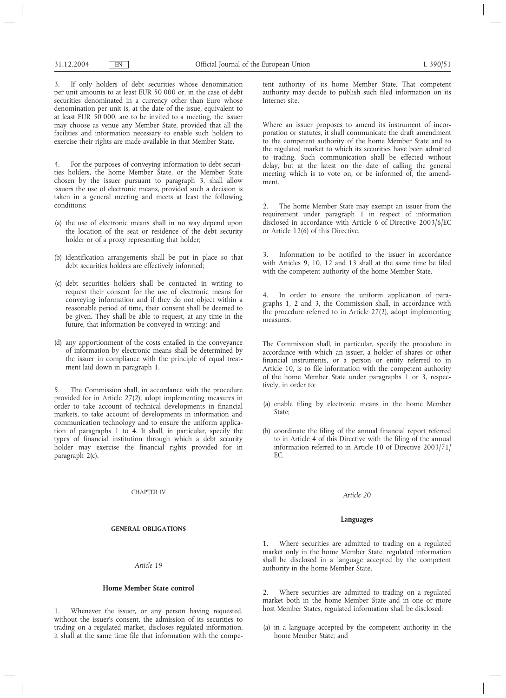3. If only holders of debt securities whose denomination per unit amounts to at least EUR 50 000 or, in the case of debt securities denominated in a currency other than Euro whose denomination per unit is, at the date of the issue, equivalent to at least EUR  $50000$ , are to be invited to a meeting, the issuer may choose as venue any Member State, provided that all the facilities and information necessary to enable such holders to exercise their rights are made available in that Member State.

4. For the purposes of conveying information to debt securities holders, the home Member State, or the Member State chosen by the issuer pursuant to paragraph 3, shall allow issuers the use of electronic means, provided such a decision is taken in a general meeting and meets at least the following conditions:

- (a) the use of electronic means shall in no way depend upon the location of the seat or residence of the debt security holder or of a proxy representing that holder;
- (b) identification arrangements shall be put in place so that debt securities holders are effectively informed;
- (c) debt securities holders shall be contacted in writing to request their consent for the use of electronic means for conveying information and if they do not object within a reasonable period of time, their consent shall be deemed to be given. They shall be able to request, at any time in the future, that information be conveyed in writing; and
- (d) any apportionment of the costs entailed in the conveyance of information by electronic means shall be determined by the issuer in compliance with the principle of equal treatment laid down in paragraph 1.

5. The Commission shall, in accordance with the procedure provided for in Article 27(2), adopt implementing measures in order to take account of technical developments in financial markets, to take account of developments in information and communication technology and to ensure the uniform application of paragraphs 1 to 4. It shall, in particular, specify the types of financial institution through which a debt security holder may exercise the financial rights provided for in paragraph 2(c).

#### CHAPTER IV

## **GENERAL OBLIGATIONS**

# *Article 19*

## **Home Member State control**

1. Whenever the issuer, or any person having requested, without the issuer's consent, the admission of its securities to trading on a regulated market, discloses regulated information, it shall at the same time file that information with the competent authority of its home Member State. That competent authority may decide to publish such filed information on its Internet site.

Where an issuer proposes to amend its instrument of incorporation or statutes, it shall communicate the draft amendment to the competent authority of the home Member State and to the regulated market to which its securities have been admitted to trading. Such communication shall be effected without delay, but at the latest on the date of calling the general meeting which is to vote on, or be informed of, the amendment.

2. The home Member State may exempt an issuer from the requirement under paragraph 1 in respect of information disclosed in accordance with Article 6 of Directive 2003/6/EC or Article 12(6) of this Directive.

3. Information to be notified to the issuer in accordance with Articles 9, 10, 12 and 13 shall at the same time be filed with the competent authority of the home Member State.

In order to ensure the uniform application of paragraphs 1, 2 and 3, the Commission shall, in accordance with the procedure referred to in Article 27(2), adopt implementing measures.

The Commission shall, in particular, specify the procedure in accordance with which an issuer, a holder of shares or other financial instruments, or a person or entity referred to in Article 10, is to file information with the competent authority of the home Member State under paragraphs 1 or 3, respectively, in order to:

- (a) enable filing by electronic means in the home Member State<sup>•</sup>
- (b) coordinate the filing of the annual financial report referred to in Article 4 of this Directive with the filing of the annual information referred to in Article 10 of Directive 2003/71/ EC.

#### *Article 20*

### **Languages**

1. Where securities are admitted to trading on a regulated market only in the home Member State, regulated information shall be disclosed in a language accepted by the competent authority in the home Member State.

Where securities are admitted to trading on a regulated market both in the home Member State and in one or more host Member States, regulated information shall be disclosed:

(a) in a language accepted by the competent authority in the home Member State; and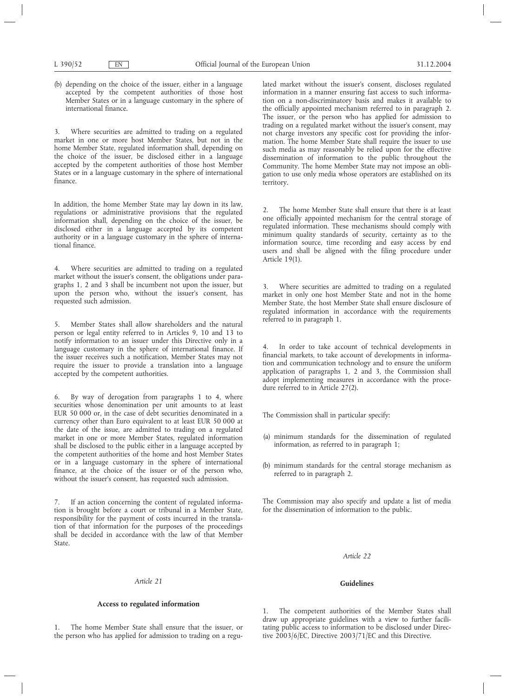(b) depending on the choice of the issuer, either in a language accepted by the competent authorities of those host Member States or in a language customary in the sphere of international finance.

3. Where securities are admitted to trading on a regulated market in one or more host Member States, but not in the home Member State, regulated information shall, depending on the choice of the issuer, be disclosed either in a language accepted by the competent authorities of those host Member States or in a language customary in the sphere of international finance.

In addition, the home Member State may lay down in its law, regulations or administrative provisions that the regulated information shall, depending on the choice of the issuer, be disclosed either in a language accepted by its competent authority or in a language customary in the sphere of international finance.

4. Where securities are admitted to trading on a regulated market without the issuer's consent, the obligations under paragraphs 1, 2 and 3 shall be incumbent not upon the issuer, but upon the person who, without the issuer's consent, has requested such admission.

5. Member States shall allow shareholders and the natural person or legal entity referred to in Articles 9, 10 and 13 to notify information to an issuer under this Directive only in a language customary in the sphere of international finance. If the issuer receives such a notification, Member States may not require the issuer to provide a translation into a language accepted by the competent authorities.

6. By way of derogation from paragraphs 1 to 4, where securities whose denomination per unit amounts to at least EUR 50 000 or, in the case of debt securities denominated in a currency other than Euro equivalent to at least EUR 50 000 at the date of the issue, are admitted to trading on a regulated market in one or more Member States, regulated information shall be disclosed to the public either in a language accepted by the competent authorities of the home and host Member States or in a language customary in the sphere of international finance, at the choice of the issuer or of the person who, without the issuer's consent, has requested such admission.

7. If an action concerning the content of regulated information is brought before a court or tribunal in a Member State, responsibility for the payment of costs incurred in the translation of that information for the purposes of the proceedings shall be decided in accordance with the law of that Member State.

#### *Article 21*

# **Access to regulated information**

1. The home Member State shall ensure that the issuer, or the person who has applied for admission to trading on a regulated market without the issuer's consent, discloses regulated information in a manner ensuring fast access to such information on a non-discriminatory basis and makes it available to the officially appointed mechanism referred to in paragraph 2. The issuer, or the person who has applied for admission to trading on a regulated market without the issuer's consent, may not charge investors any specific cost for providing the information. The home Member State shall require the issuer to use such media as may reasonably be relied upon for the effective dissemination of information to the public throughout the Community. The home Member State may not impose an obligation to use only media whose operators are established on its territory.

2. The home Member State shall ensure that there is at least one officially appointed mechanism for the central storage of regulated information. These mechanisms should comply with minimum quality standards of security, certainty as to the information source, time recording and easy access by end users and shall be aligned with the filing procedure under Article 19(1).

3. Where securities are admitted to trading on a regulated market in only one host Member State and not in the home Member State, the host Member State shall ensure disclosure of regulated information in accordance with the requirements referred to in paragraph 1.

4. In order to take account of technical developments in financial markets, to take account of developments in information and communication technology and to ensure the uniform application of paragraphs 1, 2 and 3, the Commission shall adopt implementing measures in accordance with the procedure referred to in Article 27(2).

The Commission shall in particular specify:

- (a) minimum standards for the dissemination of regulated information, as referred to in paragraph 1;
- (b) minimum standards for the central storage mechanism as referred to in paragraph 2.

The Commission may also specify and update a list of media for the dissemination of information to the public.

### *Article 22*

### **Guidelines**

1. The competent authorities of the Member States shall draw up appropriate guidelines with a view to further facilitating public access to information to be disclosed under Directive 2003/6/EC, Directive 2003/71/EC and this Directive.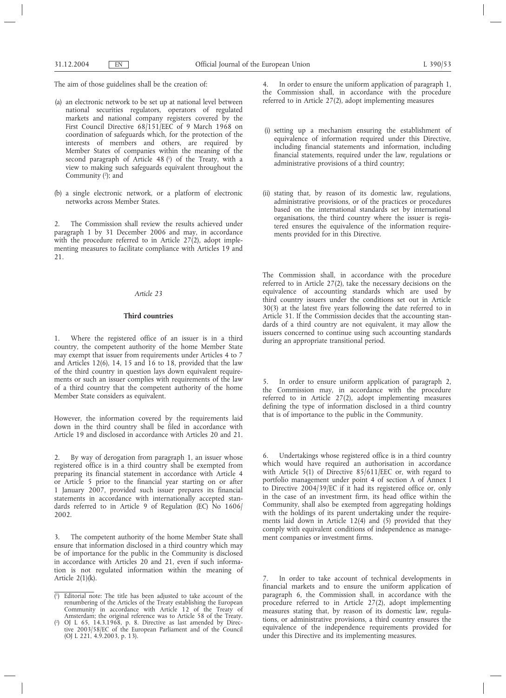The aim of those guidelines shall be the creation of:

- (a) an electronic network to be set up at national level between national securities regulators, operators of regulated markets and national company registers covered by the First Council Directive 68/151/EEC of 9 March 1968 on coordination of safeguards which, for the protection of the interests of members and others, are required by Member States of companies within the meaning of the second paragraph of Article 48 (<sup>1</sup>) of the Treaty, with a view to making such safeguards equivalent throughout the Community (2); and
- (b) a single electronic network, or a platform of electronic networks across Member States.

2. The Commission shall review the results achieved under paragraph 1 by 31 December 2006 and may, in accordance with the procedure referred to in Article  $27(2)$ , adopt implementing measures to facilitate compliance with Articles 19 and 21.

#### *Article 23*

### **Third countries**

1. Where the registered office of an issuer is in a third country, the competent authority of the home Member State may exempt that issuer from requirements under Articles 4 to 7 and Articles  $12(6)$ , 14, 15 and  $16$  to 18, provided that the law of the third country in question lays down equivalent requirements or such an issuer complies with requirements of the law of a third country that the competent authority of the home Member State considers as equivalent.

However, the information covered by the requirements laid down in the third country shall be filed in accordance with Article 19 and disclosed in accordance with Articles 20 and 21.

2. By way of derogation from paragraph 1, an issuer whose registered office is in a third country shall be exempted from preparing its financial statement in accordance with Article 4 or Article 5 prior to the financial year starting on or after 1 January 2007, provided such issuer prepares its financial statements in accordance with internationally accepted standards referred to in Article 9 of Regulation (EC) No 1606/ 2002.

3. The competent authority of the home Member State shall ensure that information disclosed in a third country which may be of importance for the public in the Community is disclosed in accordance with Articles 20 and 21, even if such information is not regulated information within the meaning of Article 2(1)(k).

4. In order to ensure the uniform application of paragraph 1, the Commission shall, in accordance with the procedure referred to in Article 27(2), adopt implementing measures

- (i) setting up a mechanism ensuring the establishment of equivalence of information required under this Directive, including financial statements and information, including financial statements, required under the law, regulations or administrative provisions of a third country;
- (ii) stating that, by reason of its domestic law, regulations, administrative provisions, or of the practices or procedures based on the international standards set by international organisations, the third country where the issuer is registered ensures the equivalence of the information requirements provided for in this Directive.

The Commission shall, in accordance with the procedure referred to in Article 27(2), take the necessary decisions on the equivalence of accounting standards which are used by third country issuers under the conditions set out in Article 30(3) at the latest five years following the date referred to in Article 31. If the Commission decides that the accounting standards of a third country are not equivalent, it may allow the issuers concerned to continue using such accounting standards during an appropriate transitional period.

5. In order to ensure uniform application of paragraph 2, the Commission may, in accordance with the procedure referred to in Article 27(2), adopt implementing measures defining the type of information disclosed in a third country that is of importance to the public in the Community.

Undertakings whose registered office is in a third country which would have required an authorisation in accordance with Article 5(1) of Directive 85/611/EEC or, with regard to portfolio management under point 4 of section A of Annex I to Directive 2004/39/EC if it had its registered office or, only in the case of an investment firm, its head office within the Community, shall also be exempted from aggregating holdings with the holdings of its parent undertaking under the requirements laid down in Article 12(4) and (5) provided that they comply with equivalent conditions of independence as management companies or investment firms.

7. In order to take account of technical developments in financial markets and to ensure the uniform application of paragraph 6, the Commission shall, in accordance with the procedure referred to in Article 27(2), adopt implementing measures stating that, by reason of its domestic law, regulations, or administrative provisions, a third country ensures the equivalence of the independence requirements provided for under this Directive and its implementing measures.

<sup>(</sup> 1 ) Editorial note: The title has been adjusted to take account of the renumbering of the Articles of the Treaty establishing the European Community in accordance with Article 12 of the Treaty of Amsterdam; the original reference was to Article 58 of the Treaty.

<sup>(</sup> 2 ) OJ L 65, 14.3.1968, p. 8. Directive as last amended by Directive 2003/58/EC of the European Parliament and of the Council (OJ L 221, 4.9.2003, p. 13).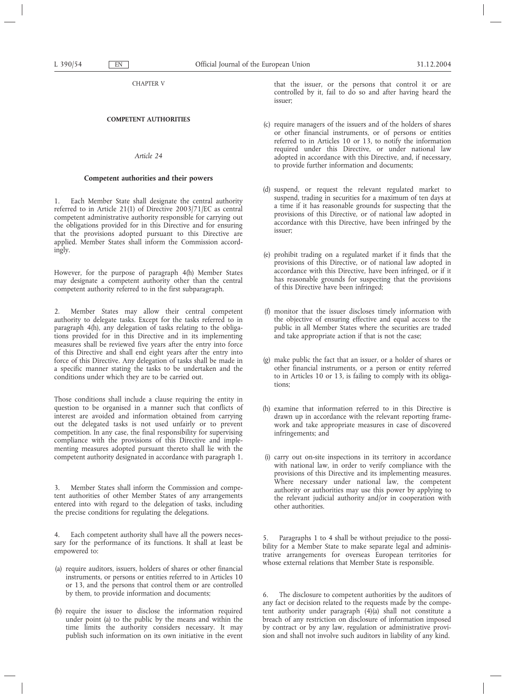CHAPTER V

## **COMPETENT AUTHORITIES**

## *Article 24*

### **Competent authorities and their powers**

1. Each Member State shall designate the central authority referred to in Article 21(1) of Directive 2003/71/EC as central competent administrative authority responsible for carrying out the obligations provided for in this Directive and for ensuring that the provisions adopted pursuant to this Directive are applied. Member States shall inform the Commission accordingly.

However, for the purpose of paragraph 4(h) Member States may designate a competent authority other than the central competent authority referred to in the first subparagraph.

2. Member States may allow their central competent authority to delegate tasks. Except for the tasks referred to in paragraph 4(h), any delegation of tasks relating to the obligations provided for in this Directive and in its implementing measures shall be reviewed five years after the entry into force of this Directive and shall end eight years after the entry into force of this Directive. Any delegation of tasks shall be made in a specific manner stating the tasks to be undertaken and the conditions under which they are to be carried out.

Those conditions shall include a clause requiring the entity in question to be organised in a manner such that conflicts of interest are avoided and information obtained from carrying out the delegated tasks is not used unfairly or to prevent competition. In any case, the final responsibility for supervising compliance with the provisions of this Directive and implementing measures adopted pursuant thereto shall lie with the competent authority designated in accordance with paragraph 1.

3. Member States shall inform the Commission and competent authorities of other Member States of any arrangements entered into with regard to the delegation of tasks, including the precise conditions for regulating the delegations.

4. Each competent authority shall have all the powers necessary for the performance of its functions. It shall at least be empowered to:

- (a) require auditors, issuers, holders of shares or other financial instruments, or persons or entities referred to in Articles 10 or 13, and the persons that control them or are controlled by them, to provide information and documents;
- (b) require the issuer to disclose the information required under point (a) to the public by the means and within the time limits the authority considers necessary. It may publish such information on its own initiative in the event

that the issuer, or the persons that control it or are controlled by it, fail to do so and after having heard the issuer;

- (c) require managers of the issuers and of the holders of shares or other financial instruments, or of persons or entities referred to in Articles 10 or 13, to notify the information required under this Directive, or under national law adopted in accordance with this Directive, and, if necessary, to provide further information and documents;
- (d) suspend, or request the relevant regulated market to suspend, trading in securities for a maximum of ten days at a time if it has reasonable grounds for suspecting that the provisions of this Directive, or of national law adopted in accordance with this Directive, have been infringed by the issuer;
- (e) prohibit trading on a regulated market if it finds that the provisions of this Directive, or of national law adopted in accordance with this Directive, have been infringed, or if it has reasonable grounds for suspecting that the provisions of this Directive have been infringed;
- (f) monitor that the issuer discloses timely information with the objective of ensuring effective and equal access to the public in all Member States where the securities are traded and take appropriate action if that is not the case;
- (g) make public the fact that an issuer, or a holder of shares or other financial instruments, or a person or entity referred to in Articles 10 or 13, is failing to comply with its obligations;
- (h) examine that information referred to in this Directive is drawn up in accordance with the relevant reporting framework and take appropriate measures in case of discovered infringements; and
- (i) carry out on-site inspections in its territory in accordance with national law, in order to verify compliance with the provisions of this Directive and its implementing measures. Where necessary under national law, the competent authority or authorities may use this power by applying to the relevant judicial authority and/or in cooperation with other authorities.

Paragraphs 1 to 4 shall be without prejudice to the possibility for a Member State to make separate legal and administrative arrangements for overseas European territories for whose external relations that Member State is responsible.

6. The disclosure to competent authorities by the auditors of any fact or decision related to the requests made by the competent authority under paragraph (4)(a) shall not constitute a breach of any restriction on disclosure of information imposed by contract or by any law, regulation or administrative provision and shall not involve such auditors in liability of any kind.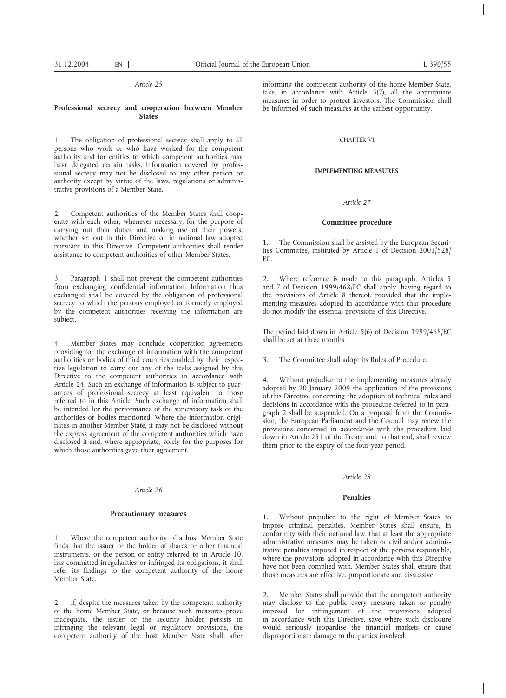## *Article 25*

## **Professional secrecy and cooperation between Member States**

1. The obligation of professional secrecy shall apply to all persons who work or who have worked for the competent authority and for entities to which competent authorities may have delegated certain tasks. Information covered by professional secrecy may not be disclosed to any other person or authority except by virtue of the laws, regulations or administrative provisions of a Member State.

2. Competent authorities of the Member States shall cooperate with each other, whenever necessary, for the purpose of carrying out their duties and making use of their powers, whether set out in this Directive or in national law adopted pursuant to this Directive. Competent authorities shall render assistance to competent authorities of other Member States.

3. Paragraph 1 shall not prevent the competent authorities from exchanging confidential information. Information thus exchanged shall be covered by the obligation of professional secrecy to which the persons employed or formerly employed by the competent authorities receiving the information are subject.

4. Member States may conclude cooperation agreements providing for the exchange of information with the competent authorities or bodies of third countries enabled by their respective legislation to carry out any of the tasks assigned by this Directive to the competent authorities in accordance with Article 24. Such an exchange of information is subject to guarantees of professional secrecy at least equivalent to those referred to in this Article. Such exchange of information shall be intended for the performance of the supervisory task of the authorities or bodies mentioned. Where the information originates in another Member State, it may not be disclosed without the express agreement of the competent authorities which have disclosed it and, where appropriate, solely for the purposes for which those authorities gave their agreement.

### *Article 26*

#### **Precautionary measures**

1. Where the competent authority of a host Member State finds that the issuer or the holder of shares or other financial instruments, or the person or entity referred to in Article 10, has committed irregularities or infringed its obligations, it shall refer its findings to the competent authority of the home Member State.

2. If, despite the measures taken by the competent authority of the home Member State, or because such measures prove inadequate, the issuer or the security holder persists in infringing the relevant legal or regulatory provisions, the competent authority of the host Member State shall, after

informing the competent authority of the home Member State, take, in accordance with Article 3(2), all the appropriate measures in order to protect investors. The Commission shall be informed of such measures at the earliest opportunity.

## CHAPTER VI

## **IMPLEMENTING MEASURES**

### *Article 27*

### **Committee procedure**

1. The Commission shall be assisted by the European Securities Committee, instituted by Article 1 of Decision 2001/528/ EC.

2. Where reference is made to this paragraph, Articles 5 and 7 of Decision 1999/468/EC shall apply, having regard to the provisions of Article 8 thereof, provided that the implementing measures adopted in accordance with that procedure do not modify the essential provisions of this Directive.

The period laid down in Article 5(6) of Decision 1999/468/EC shall be set at three months.

3. The Committee shall adopt its Rules of Procedure.

4. Without prejudice to the implementing measures already adopted by 20 January 2009 the application of the provisions of this Directive concerning the adoption of technical rules and decisions in accordance with the procedure referred to in paragraph 2 shall be suspended. On a proposal from the Commission, the European Parliament and the Council may renew the provisions concerned in accordance with the procedure laid down in Article 251 of the Treaty and, to that end, shall review them prior to the expiry of the four-year period.

### *Article 28*

### **Penalties**

1. Without prejudice to the right of Member States to impose criminal penalties, Member States shall ensure, in conformity with their national law, that at least the appropriate administrative measures may be taken or civil and/or administrative penalties imposed in respect of the persons responsible, where the provisions adopted in accordance with this Directive have not been complied with. Member States shall ensure that those measures are effective, proportionate and dissuasive.

2. Member States shall provide that the competent authority may disclose to the public every measure taken or penalty imposed for infringement of the provisions adopted in accordance with this Directive, save where such disclosure would seriously jeopardise the financial markets or cause disproportionate damage to the parties involved.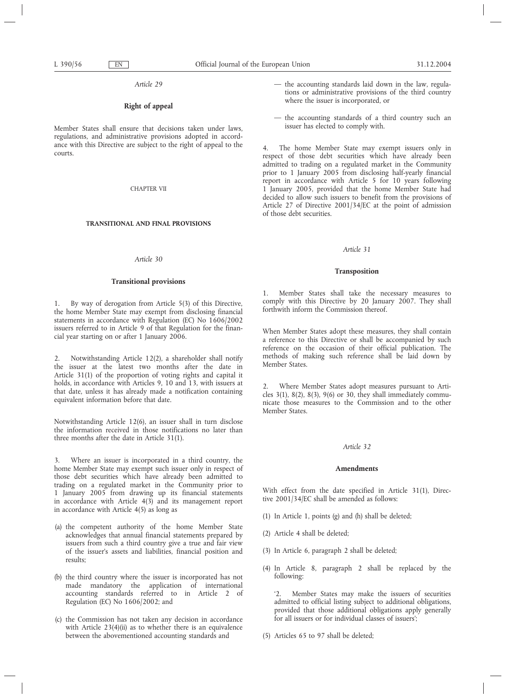*Article 29*

## **Right of appeal**

Member States shall ensure that decisions taken under laws, regulations, and administrative provisions adopted in accordance with this Directive are subject to the right of appeal to the courts.

CHAPTER VII

## **TRANSITIONAL AND FINAL PROVISIONS**

## *Article 30*

## **Transitional provisions**

1. By way of derogation from Article 5(3) of this Directive, the home Member State may exempt from disclosing financial statements in accordance with Regulation (EC) No 1606/2002 issuers referred to in Article 9 of that Regulation for the financial year starting on or after 1 January 2006.

2. Notwithstanding Article 12(2), a shareholder shall notify the issuer at the latest two months after the date in Article 31(1) of the proportion of voting rights and capital it holds, in accordance with Articles 9, 10 and 13, with issuers at that date, unless it has already made a notification containing equivalent information before that date.

Notwithstanding Article 12(6), an issuer shall in turn disclose the information received in those notifications no later than three months after the date in Article 31(1).

3. Where an issuer is incorporated in a third country, the home Member State may exempt such issuer only in respect of those debt securities which have already been admitted to trading on a regulated market in the Community prior to 1 January 2005 from drawing up its financial statements in accordance with Article 4(3) and its management report in accordance with Article 4(5) as long as

- (a) the competent authority of the home Member State acknowledges that annual financial statements prepared by issuers from such a third country give a true and fair view of the issuer's assets and liabilities, financial position and results;
- (b) the third country where the issuer is incorporated has not made mandatory the application of international accounting standards referred to in Article 2 of Regulation (EC) No 1606/2002; and
- (c) the Commission has not taken any decision in accordance with Article 23(4)(ii) as to whether there is an equivalence between the abovementioned accounting standards and
- the accounting standards laid down in the law, regulations or administrative provisions of the third country where the issuer is incorporated, or
- the accounting standards of a third country such an issuer has elected to comply with.

4. The home Member State may exempt issuers only in respect of those debt securities which have already been admitted to trading on a regulated market in the Community prior to 1 January 2005 from disclosing half-yearly financial report in accordance with Article 5 for 10 years following 1 January 2005, provided that the home Member State had decided to allow such issuers to benefit from the provisions of Article 27 of Directive 2001/34/EC at the point of admission of those debt securities.

### *Article 31*

### **Transposition**

1. Member States shall take the necessary measures to comply with this Directive by 20 January 2007. They shall forthwith inform the Commission thereof.

When Member States adopt these measures, they shall contain a reference to this Directive or shall be accompanied by such reference on the occasion of their official publication. The methods of making such reference shall be laid down by Member States.

2. Where Member States adopt measures pursuant to Articles 3(1), 8(2), 8(3), 9(6) or 30, they shall immediately communicate those measures to the Commission and to the other Member States.

#### *Article 32*

### **Amendments**

With effect from the date specified in Article 31(1), Directive 2001/34/EC shall be amended as follows:

- (1) In Article 1, points (g) and (h) shall be deleted;
- (2) Article 4 shall be deleted;
- (3) In Article 6, paragraph 2 shall be deleted;
- (4) In Article 8, paragraph 2 shall be replaced by the following:

'2. Member States may make the issuers of securities admitted to official listing subject to additional obligations, provided that those additional obligations apply generally for all issuers or for individual classes of issuers';

(5) Articles 65 to 97 shall be deleted;